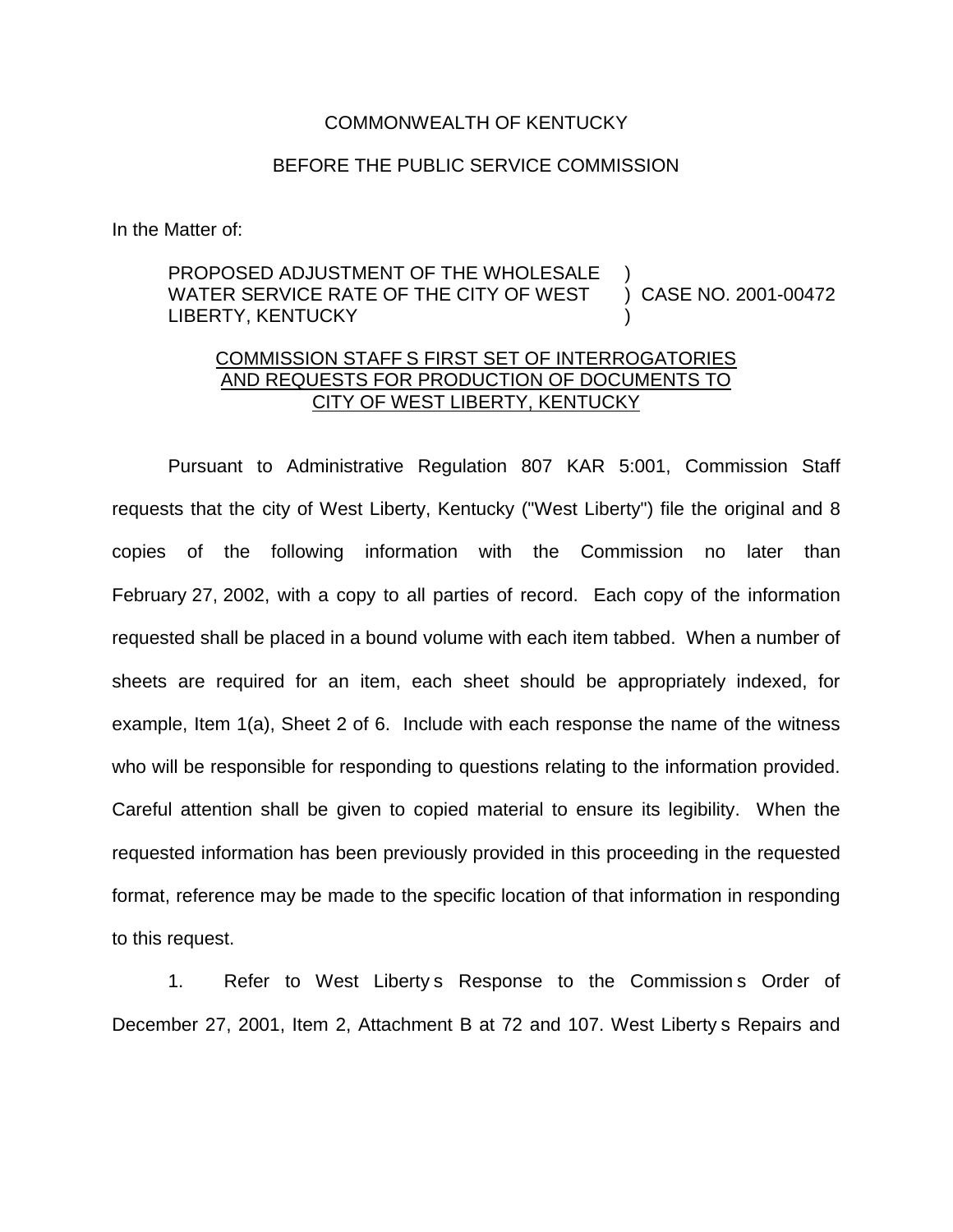## COMMONWEALTH OF KENTUCKY

## BEFORE THE PUBLIC SERVICE COMMISSION

In the Matter of:

## PROPOSED ADJUSTMENT OF THE WHOLESALE WATER SERVICE RATE OF THE CITY OF WEST LIBERTY, KENTUCKY ) ) CASE NO. 2001-00472 )

## COMMISSION STAFF S FIRST SET OF INTERROGATORIES AND REQUESTS FOR PRODUCTION OF DOCUMENTS TO CITY OF WEST LIBERTY, KENTUCKY

Pursuant to Administrative Regulation 807 KAR 5:001, Commission Staff requests that the city of West Liberty, Kentucky ("West Liberty") file the original and 8 copies of the following information with the Commission no later than February 27, 2002, with a copy to all parties of record. Each copy of the information requested shall be placed in a bound volume with each item tabbed. When a number of sheets are required for an item, each sheet should be appropriately indexed, for example, Item 1(a), Sheet 2 of 6. Include with each response the name of the witness who will be responsible for responding to questions relating to the information provided. Careful attention shall be given to copied material to ensure its legibility. When the requested information has been previously provided in this proceeding in the requested format, reference may be made to the specific location of that information in responding to this request.

1. Refer to West Liberty s Response to the Commission s Order of December 27, 2001, Item 2, Attachment B at 72 and 107. West Liberty s Repairs and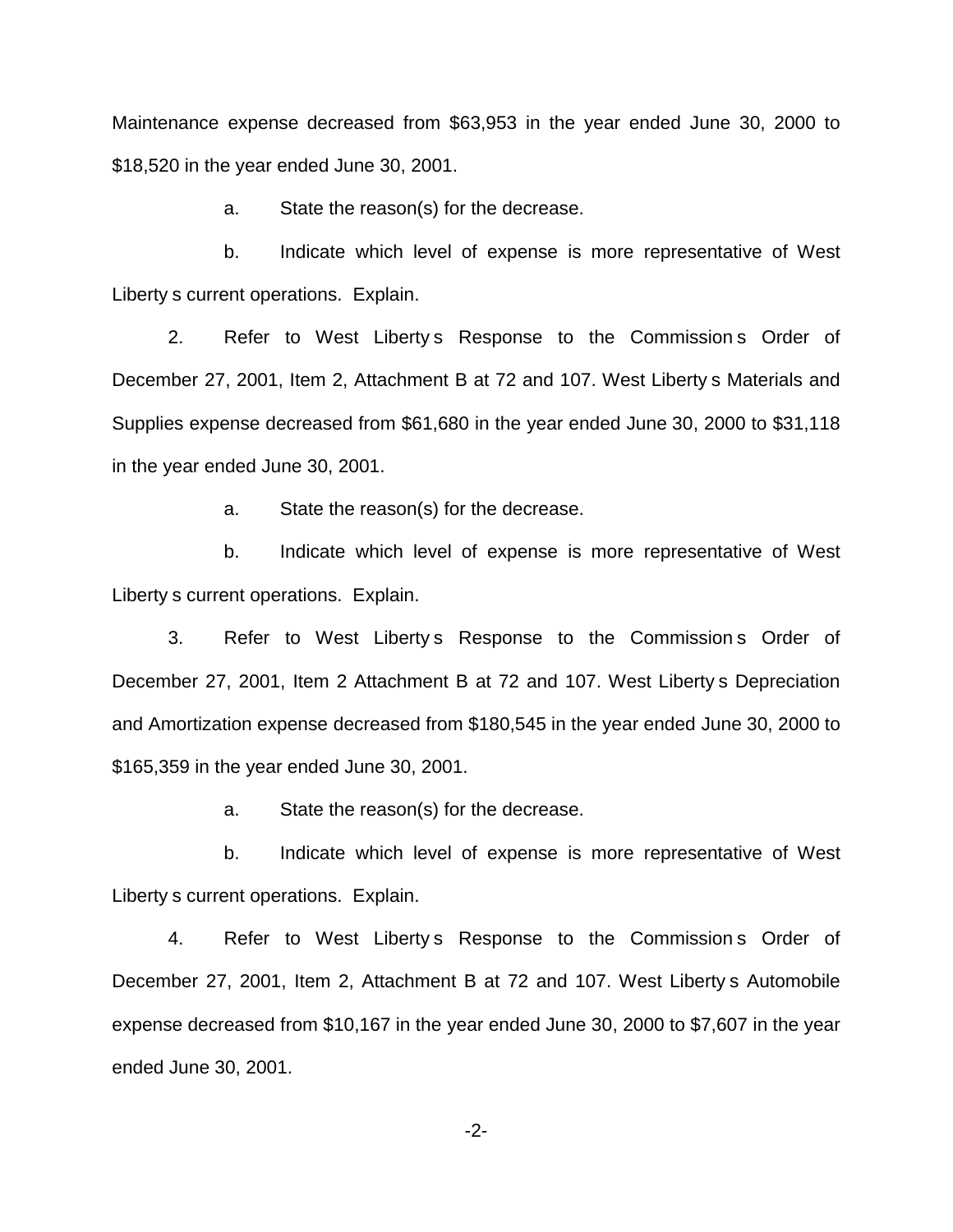Maintenance expense decreased from \$63,953 in the year ended June 30, 2000 to \$18,520 in the year ended June 30, 2001.

a. State the reason(s) for the decrease.

b. Indicate which level of expense is more representative of West Liberty s current operations. Explain.

2. Refer to West Liberty s Response to the Commission s Order of December 27, 2001, Item 2, Attachment B at 72 and 107. West Liberty s Materials and Supplies expense decreased from \$61,680 in the year ended June 30, 2000 to \$31,118 in the year ended June 30, 2001.

a. State the reason(s) for the decrease.

b. Indicate which level of expense is more representative of West Liberty s current operations. Explain.

3. Refer to West Liberty s Response to the Commission s Order of December 27, 2001, Item 2 Attachment B at 72 and 107. West Liberty s Depreciation and Amortization expense decreased from \$180,545 in the year ended June 30, 2000 to \$165,359 in the year ended June 30, 2001.

a. State the reason(s) for the decrease.

b. Indicate which level of expense is more representative of West Liberty s current operations. Explain.

4. Refer to West Liberty s Response to the Commission s Order of December 27, 2001, Item 2, Attachment B at 72 and 107. West Liberty s Automobile expense decreased from \$10,167 in the year ended June 30, 2000 to \$7,607 in the year ended June 30, 2001.

-2-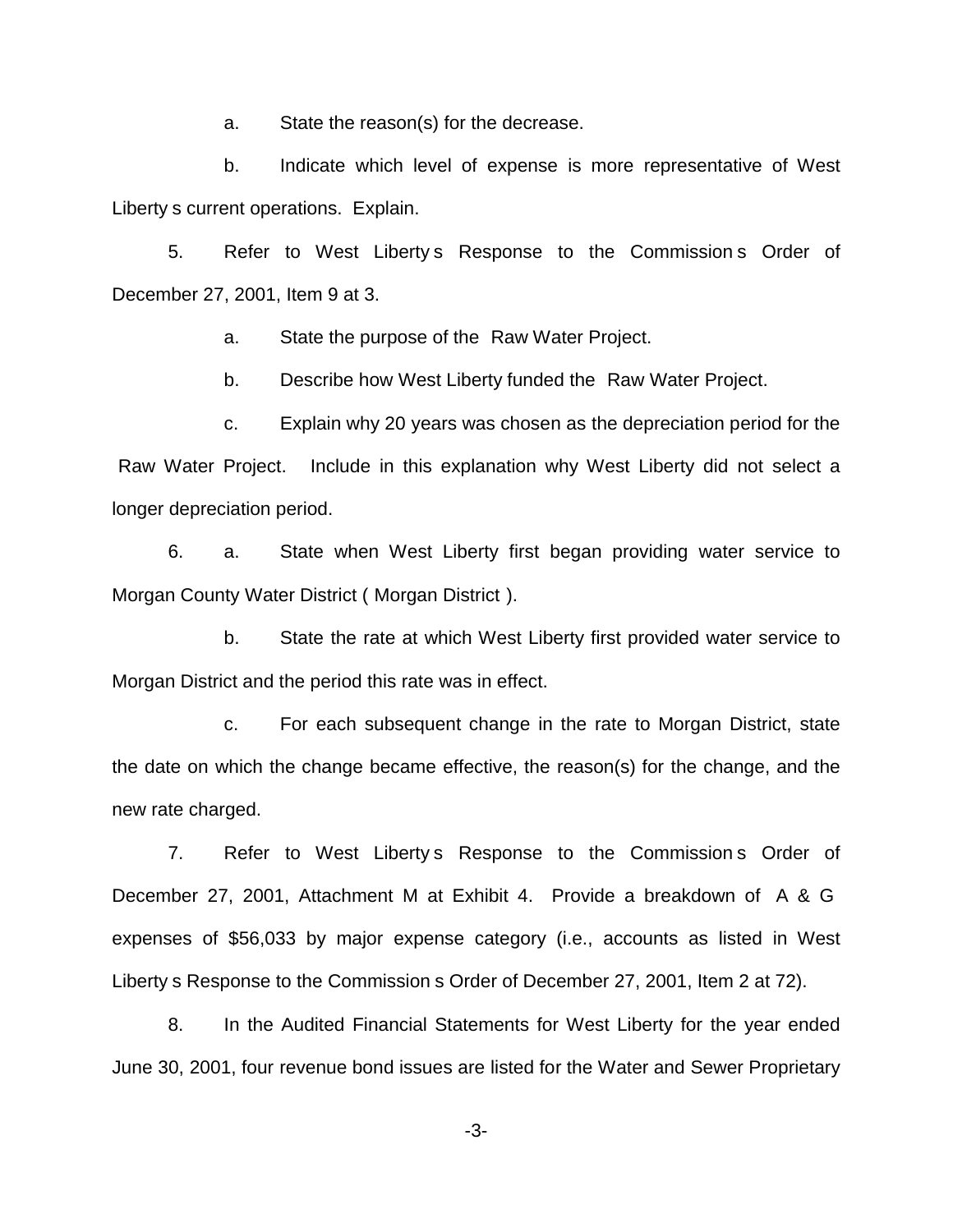a. State the reason(s) for the decrease.

b. Indicate which level of expense is more representative of West Liberty s current operations. Explain.

5. Refer to West Liberty s Response to the Commission s Order of December 27, 2001, Item 9 at 3.

a. State the purpose of the Raw Water Project.

b. Describe how West Liberty funded the Raw Water Project.

c. Explain why 20 years was chosen as the depreciation period for the Raw Water Project. Include in this explanation why West Liberty did not select a longer depreciation period.

6. a. State when West Liberty first began providing water service to Morgan County Water District ( Morgan District ).

b. State the rate at which West Liberty first provided water service to Morgan District and the period this rate was in effect.

c. For each subsequent change in the rate to Morgan District, state the date on which the change became effective, the reason(s) for the change, and the new rate charged.

7. Refer to West Liberty s Response to the Commission s Order of December 27, 2001, Attachment M at Exhibit 4. Provide a breakdown of A & G expenses of \$56,033 by major expense category (i.e., accounts as listed in West Liberty s Response to the Commission s Order of December 27, 2001, Item 2 at 72).

8. In the Audited Financial Statements for West Liberty for the year ended June 30, 2001, four revenue bond issues are listed for the Water and Sewer Proprietary

-3-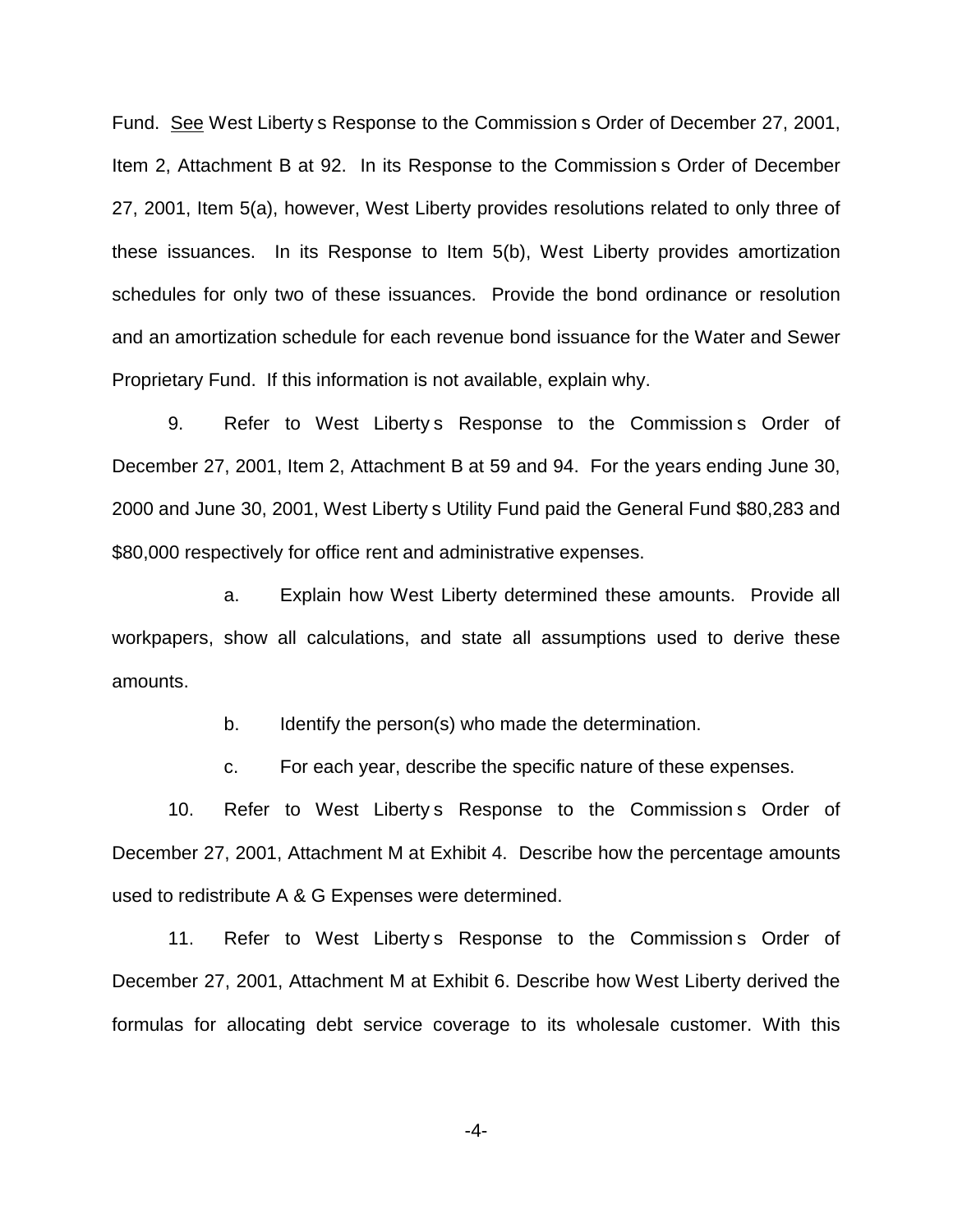Fund. See West Liberty s Response to the Commission s Order of December 27, 2001, Item 2, Attachment B at 92. In its Response to the Commission s Order of December 27, 2001, Item 5(a), however, West Liberty provides resolutions related to only three of these issuances. In its Response to Item 5(b), West Liberty provides amortization schedules for only two of these issuances. Provide the bond ordinance or resolution and an amortization schedule for each revenue bond issuance for the Water and Sewer Proprietary Fund. If this information is not available, explain why.

9. Refer to West Liberty s Response to the Commission s Order of December 27, 2001, Item 2, Attachment B at 59 and 94. For the years ending June 30, 2000 and June 30, 2001, West Liberty s Utility Fund paid the General Fund \$80,283 and \$80,000 respectively for office rent and administrative expenses.

a. Explain how West Liberty determined these amounts. Provide all workpapers, show all calculations, and state all assumptions used to derive these amounts.

b. Identify the person(s) who made the determination.

c. For each year, describe the specific nature of these expenses.

10. Refer to West Liberty s Response to the Commission s Order of December 27, 2001, Attachment M at Exhibit 4. Describe how the percentage amounts used to redistribute A & G Expenses were determined.

11. Refer to West Liberty s Response to the Commission s Order of December 27, 2001, Attachment M at Exhibit 6. Describe how West Liberty derived the formulas for allocating debt service coverage to its wholesale customer. With this

-4-